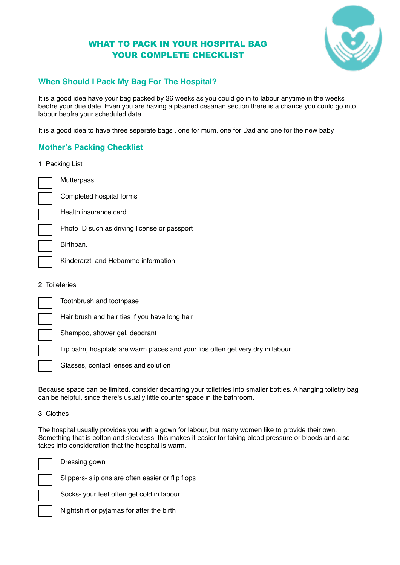# WHAT TO PACK IN YOUR HOSPITAL BAG YOUR COMPLETE CHECKLIST



# **When Should I Pack My Bag For The Hospital?**

It is a good idea have your bag packed by 36 weeks as you could go in to labour anytime in the weeks beofre your due date. Even you are having a plaaned cesarian section there is a chance you could go into labour beofre your scheduled date.

It is a good idea to have three seperate bags , one for mum, one for Dad and one for the new baby

### **Mother's Packing Checklist**

1. Packing List

**Mutterpass** Completed hospital forms

Health insurance card

Photo ID such as driving license or passport

Birthpan.

Kinderarzt and Hebamme information

2. Toileteries

Toothbrush and toothpase

Hair brush and hair ties if you have long hair

Shampoo, shower gel, deodrant

Lip balm, hospitals are warm places and your lips often get very dry in labour

Glasses, contact lenses and solution

Because space can be limited, consider decanting your toiletries into smaller bottles. A hanging toiletry bag can be helpful, since there's usually little counter space in the bathroom.

#### 3. Clothes

The hospital usually provides you with a gown for labour, but many women like to provide their own. Something that is cotton and sleevless, this makes it easier for taking blood pressure or bloods and also takes into consideration that the hospital is warm.



Dressing gown

Slippers- slip ons are often easier or flip flops

Socks- your feet often get cold in labour

Nightshirt or pyjamas for after the birth